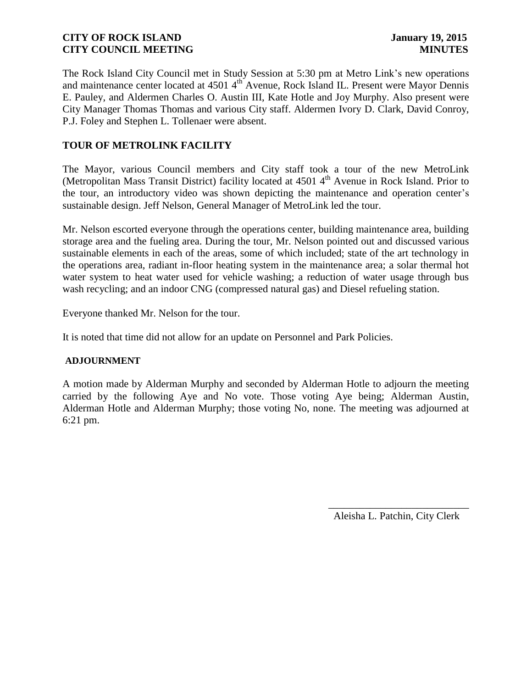The Rock Island City Council met in Study Session at 5:30 pm at Metro Link's new operations and maintenance center located at 4501 4<sup>th</sup> Avenue, Rock Island IL. Present were Mayor Dennis E. Pauley, and Aldermen Charles O. Austin III, Kate Hotle and Joy Murphy. Also present were City Manager Thomas Thomas and various City staff. Aldermen Ivory D. Clark, David Conroy, P.J. Foley and Stephen L. Tollenaer were absent.

# **TOUR OF METROLINK FACILITY**

The Mayor, various Council members and City staff took a tour of the new MetroLink (Metropolitan Mass Transit District) facility located at 4501 4<sup>th</sup> Avenue in Rock Island. Prior to the tour, an introductory video was shown depicting the maintenance and operation center's sustainable design. Jeff Nelson, General Manager of MetroLink led the tour.

Mr. Nelson escorted everyone through the operations center, building maintenance area, building storage area and the fueling area. During the tour, Mr. Nelson pointed out and discussed various sustainable elements in each of the areas, some of which included; state of the art technology in the operations area, radiant in-floor heating system in the maintenance area; a solar thermal hot water system to heat water used for vehicle washing; a reduction of water usage through bus wash recycling; and an indoor CNG (compressed natural gas) and Diesel refueling station.

Everyone thanked Mr. Nelson for the tour.

It is noted that time did not allow for an update on Personnel and Park Policies.

### **ADJOURNMENT**

A motion made by Alderman Murphy and seconded by Alderman Hotle to adjourn the meeting carried by the following Aye and No vote. Those voting Aye being; Alderman Austin, Alderman Hotle and Alderman Murphy; those voting No, none. The meeting was adjourned at 6:21 pm.

Aleisha L. Patchin, City Clerk

 $\frac{1}{2}$  ,  $\frac{1}{2}$  ,  $\frac{1}{2}$  ,  $\frac{1}{2}$  ,  $\frac{1}{2}$  ,  $\frac{1}{2}$  ,  $\frac{1}{2}$  ,  $\frac{1}{2}$  ,  $\frac{1}{2}$  ,  $\frac{1}{2}$  ,  $\frac{1}{2}$  ,  $\frac{1}{2}$  ,  $\frac{1}{2}$  ,  $\frac{1}{2}$  ,  $\frac{1}{2}$  ,  $\frac{1}{2}$  ,  $\frac{1}{2}$  ,  $\frac{1}{2}$  ,  $\frac{1$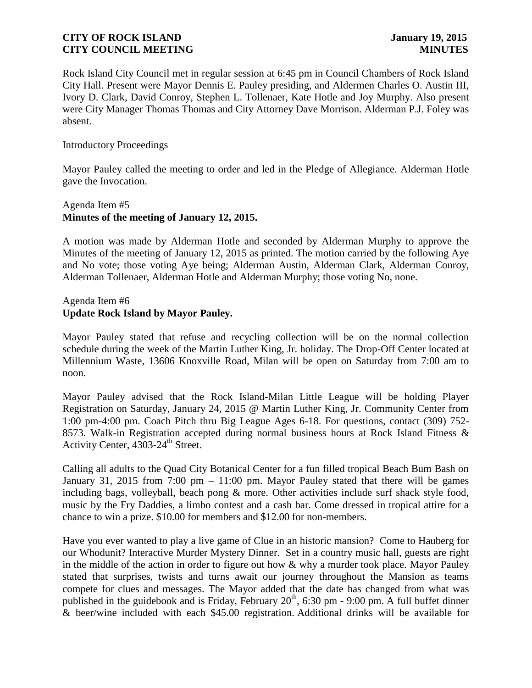Rock Island City Council met in regular session at 6:45 pm in Council Chambers of Rock Island City Hall. Present were Mayor Dennis E. Pauley presiding, and Aldermen Charles O. Austin III, Ivory D. Clark, David Conroy, Stephen L. Tollenaer, Kate Hotle and Joy Murphy. Also present were City Manager Thomas Thomas and City Attorney Dave Morrison. Alderman P.J. Foley was absent.

### Introductory Proceedings

Mayor Pauley called the meeting to order and led in the Pledge of Allegiance. Alderman Hotle gave the Invocation.

# Agenda Item #5 **Minutes of the meeting of January 12, 2015.**

A motion was made by Alderman Hotle and seconded by Alderman Murphy to approve the Minutes of the meeting of January 12, 2015 as printed. The motion carried by the following Aye and No vote; those voting Aye being; Alderman Austin, Alderman Clark, Alderman Conroy, Alderman Tollenaer, Alderman Hotle and Alderman Murphy; those voting No, none.

# Agenda Item #6 **Update Rock Island by Mayor Pauley.**

Mayor Pauley stated that refuse and recycling collection will be on the normal collection schedule during the week of the Martin Luther King, Jr. holiday. The Drop-Off Center located at Millennium Waste, 13606 Knoxville Road, Milan will be open on Saturday from 7:00 am to noon.

Mayor Pauley advised that the Rock Island-Milan Little League will be holding Player Registration on Saturday, January 24, 2015 @ Martin Luther King, Jr. Community Center from 1:00 pm-4:00 pm. Coach Pitch thru Big League Ages 6-18. For questions, contact (309) 752- 8573. Walk-in Registration accepted during normal business hours at Rock Island Fitness & Activity Center, 4303-24<sup>th</sup> Street.

Calling all adults to the Quad City Botanical Center for a fun filled tropical Beach Bum Bash on January 31, 2015 from 7:00 pm – 11:00 pm. Mayor Pauley stated that there will be games including bags, volleyball, beach pong & more. Other activities include surf shack style food, music by the Fry Daddies, a limbo contest and a cash bar. Come dressed in tropical attire for a chance to win a prize. \$10.00 for members and \$12.00 for non-members.

Have you ever wanted to play a live game of Clue in an historic mansion? Come to Hauberg for our Whodunit? Interactive Murder Mystery Dinner. Set in a country music hall, guests are right in the middle of the action in order to figure out how & why a murder took place. Mayor Pauley stated that surprises, twists and turns await our journey throughout the Mansion as teams compete for clues and messages. The Mayor added that the date has changed from what was published in the guidebook and is Friday, February  $20<sup>th</sup>$ , 6:30 pm - 9:00 pm. A full buffet dinner & beer/wine included with each \$45.00 registration. Additional drinks will be available for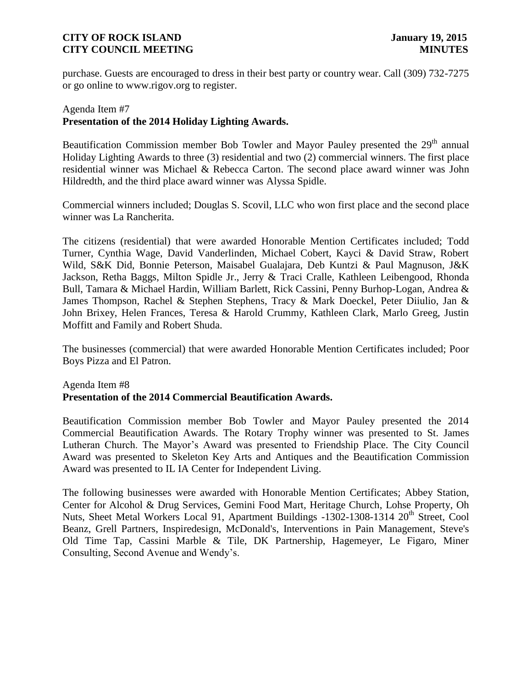purchase. Guests are encouraged to dress in their best party or country wear. Call (309) 732-7275 or go online to www.rigov.org to register.

# Agenda Item #7 **Presentation of the 2014 Holiday Lighting Awards.**

Beautification Commission member Bob Towler and Mayor Pauley presented the 29<sup>th</sup> annual Holiday Lighting Awards to three (3) residential and two (2) commercial winners. The first place residential winner was Michael & Rebecca Carton. The second place award winner was John Hildredth, and the third place award winner was Alyssa Spidle.

Commercial winners included; Douglas S. Scovil, LLC who won first place and the second place winner was La Rancherita.

The citizens (residential) that were awarded Honorable Mention Certificates included; Todd Turner, Cynthia Wage, David Vanderlinden, Michael Cobert, Kayci & David Straw, Robert Wild, S&K Did, Bonnie Peterson, Maisabel Gualajara, Deb Kuntzi & Paul Magnuson, J&K Jackson, Retha Baggs, Milton Spidle Jr., Jerry & Traci Cralle, Kathleen Leibengood, Rhonda Bull, Tamara & Michael Hardin, William Barlett, Rick Cassini, Penny Burhop-Logan, Andrea & James Thompson, Rachel & Stephen Stephens, Tracy & Mark Doeckel, Peter Diiulio, Jan & John Brixey, Helen Frances, Teresa & Harold Crummy, Kathleen Clark, Marlo Greeg, Justin Moffitt and Family and Robert Shuda.

The businesses (commercial) that were awarded Honorable Mention Certificates included; Poor Boys Pizza and El Patron.

# Agenda Item #8 **Presentation of the 2014 Commercial Beautification Awards.**

Beautification Commission member Bob Towler and Mayor Pauley presented the 2014 Commercial Beautification Awards. The Rotary Trophy winner was presented to St. James Lutheran Church. The Mayor's Award was presented to Friendship Place. The City Council Award was presented to Skeleton Key Arts and Antiques and the Beautification Commission Award was presented to IL IA Center for Independent Living.

The following businesses were awarded with Honorable Mention Certificates; Abbey Station, Center for Alcohol & Drug Services, Gemini Food Mart, Heritage Church, Lohse Property, Oh Nuts, Sheet Metal Workers Local 91, Apartment Buildings -1302-1308-1314 20<sup>th</sup> Street, Cool Beanz, Grell Partners, Inspiredesign, McDonald's, Interventions in Pain Management, Steve's Old Time Tap, Cassini Marble & Tile, DK Partnership, Hagemeyer, Le Figaro, Miner Consulting, Second Avenue and Wendy's.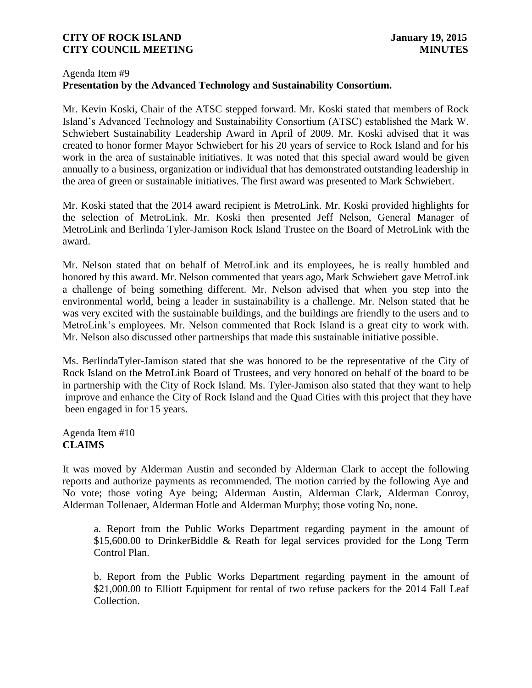# Agenda Item #9 **Presentation by the Advanced Technology and Sustainability Consortium.**

Mr. Kevin Koski, Chair of the ATSC stepped forward. Mr. Koski stated that members of Rock Island's Advanced Technology and Sustainability Consortium (ATSC) established the Mark W. Schwiebert Sustainability Leadership Award in April of 2009. Mr. Koski advised that it was created to honor former Mayor Schwiebert for his 20 years of service to Rock Island and for his work in the area of sustainable initiatives. It was noted that this special award would be given annually to a business, organization or individual that has demonstrated outstanding leadership in the area of green or sustainable initiatives. The first award was presented to Mark Schwiebert.

Mr. Koski stated that the 2014 award recipient is MetroLink. Mr. Koski provided highlights for the selection of MetroLink. Mr. Koski then presented Jeff Nelson, General Manager of MetroLink and Berlinda Tyler-Jamison Rock Island Trustee on the Board of MetroLink with the award.

Mr. Nelson stated that on behalf of MetroLink and its employees, he is really humbled and honored by this award. Mr. Nelson commented that years ago, Mark Schwiebert gave MetroLink a challenge of being something different. Mr. Nelson advised that when you step into the environmental world, being a leader in sustainability is a challenge. Mr. Nelson stated that he was very excited with the sustainable buildings, and the buildings are friendly to the users and to MetroLink's employees. Mr. Nelson commented that Rock Island is a great city to work with. Mr. Nelson also discussed other partnerships that made this sustainable initiative possible.

Ms. BerlindaTyler-Jamison stated that she was honored to be the representative of the City of Rock Island on the MetroLink Board of Trustees, and very honored on behalf of the board to be in partnership with the City of Rock Island. Ms. Tyler-Jamison also stated that they want to help improve and enhance the City of Rock Island and the Quad Cities with this project that they have been engaged in for 15 years.

Agenda Item #10 **CLAIMS** 

It was moved by Alderman Austin and seconded by Alderman Clark to accept the following reports and authorize payments as recommended. The motion carried by the following Aye and No vote; those voting Aye being; Alderman Austin, Alderman Clark, Alderman Conroy, Alderman Tollenaer, Alderman Hotle and Alderman Murphy; those voting No, none.

a. Report from the Public Works Department regarding payment in the amount of \$15,600.00 to DrinkerBiddle & Reath for legal services provided for the Long Term Control Plan.

b. Report from the Public Works Department regarding payment in the amount of \$21,000.00 to Elliott Equipment for rental of two refuse packers for the 2014 Fall Leaf Collection.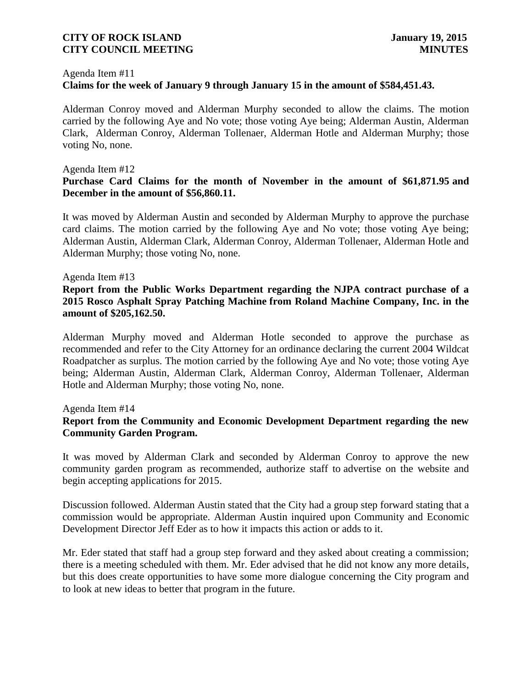#### Agenda Item #11

# **Claims for the week of January 9 through January 15 in the amount of \$584,451.43.**

Alderman Conroy moved and Alderman Murphy seconded to allow the claims. The motion carried by the following Aye and No vote; those voting Aye being; Alderman Austin, Alderman Clark, Alderman Conroy, Alderman Tollenaer, Alderman Hotle and Alderman Murphy; those voting No, none.

### Agenda Item #12

### **Purchase Card Claims for the month of November in the amount of \$61,871.95 and December in the amount of \$56,860.11.**

It was moved by Alderman Austin and seconded by Alderman Murphy to approve the purchase card claims. The motion carried by the following Aye and No vote; those voting Aye being; Alderman Austin, Alderman Clark, Alderman Conroy, Alderman Tollenaer, Alderman Hotle and Alderman Murphy; those voting No, none.

### Agenda Item #13

# **Report from the Public Works Department regarding the NJPA contract purchase of a 2015 Rosco Asphalt Spray Patching Machine from Roland Machine Company, Inc. in the amount of \$205,162.50.**

Alderman Murphy moved and Alderman Hotle seconded to approve the purchase as recommended and refer to the City Attorney for an ordinance declaring the current 2004 Wildcat Roadpatcher as surplus. The motion carried by the following Aye and No vote; those voting Aye being; Alderman Austin, Alderman Clark, Alderman Conroy, Alderman Tollenaer, Alderman Hotle and Alderman Murphy; those voting No, none.

#### Agenda Item #14

# **Report from the Community and Economic Development Department regarding the new Community Garden Program.**

It was moved by Alderman Clark and seconded by Alderman Conroy to approve the new community garden program as recommended, authorize staff to advertise on the website and begin accepting applications for 2015.

Discussion followed. Alderman Austin stated that the City had a group step forward stating that a commission would be appropriate. Alderman Austin inquired upon Community and Economic Development Director Jeff Eder as to how it impacts this action or adds to it.

Mr. Eder stated that staff had a group step forward and they asked about creating a commission; there is a meeting scheduled with them. Mr. Eder advised that he did not know any more details, but this does create opportunities to have some more dialogue concerning the City program and to look at new ideas to better that program in the future.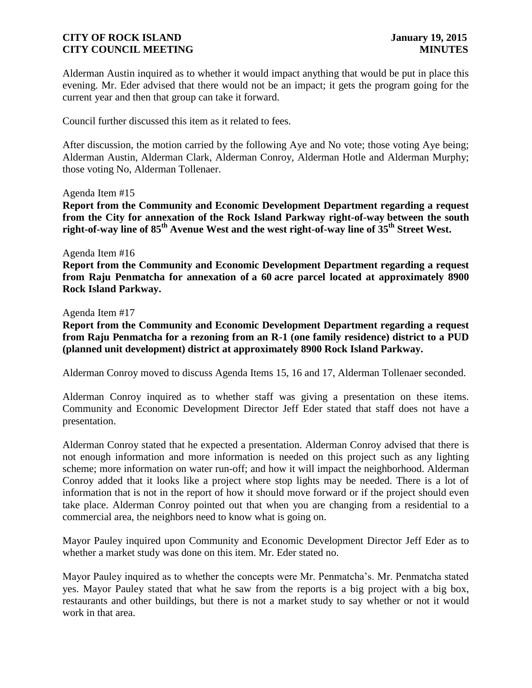Alderman Austin inquired as to whether it would impact anything that would be put in place this evening. Mr. Eder advised that there would not be an impact; it gets the program going for the current year and then that group can take it forward.

Council further discussed this item as it related to fees.

After discussion, the motion carried by the following Aye and No vote; those voting Aye being; Alderman Austin, Alderman Clark, Alderman Conroy, Alderman Hotle and Alderman Murphy; those voting No, Alderman Tollenaer.

#### Agenda Item #15

**Report from the Community and Economic Development Department regarding a request from the City for annexation of the Rock Island Parkway right-of-way between the south right-of-way line of 85th Avenue West and the west right-of-way line of 35th Street West.**

#### Agenda Item #16

**Report from the Community and Economic Development Department regarding a request from Raju Penmatcha for annexation of a 60 acre parcel located at approximately 8900 Rock Island Parkway.**

#### Agenda Item #17

**Report from the Community and Economic Development Department regarding a request from Raju Penmatcha for a rezoning from an R-1 (one family residence) district to a PUD (planned unit development) district at approximately 8900 Rock Island Parkway.** 

Alderman Conroy moved to discuss Agenda Items 15, 16 and 17, Alderman Tollenaer seconded.

Alderman Conroy inquired as to whether staff was giving a presentation on these items. Community and Economic Development Director Jeff Eder stated that staff does not have a presentation.

Alderman Conroy stated that he expected a presentation. Alderman Conroy advised that there is not enough information and more information is needed on this project such as any lighting scheme; more information on water run-off; and how it will impact the neighborhood. Alderman Conroy added that it looks like a project where stop lights may be needed. There is a lot of information that is not in the report of how it should move forward or if the project should even take place. Alderman Conroy pointed out that when you are changing from a residential to a commercial area, the neighbors need to know what is going on.

Mayor Pauley inquired upon Community and Economic Development Director Jeff Eder as to whether a market study was done on this item. Mr. Eder stated no.

Mayor Pauley inquired as to whether the concepts were Mr. Penmatcha's. Mr. Penmatcha stated yes. Mayor Pauley stated that what he saw from the reports is a big project with a big box, restaurants and other buildings, but there is not a market study to say whether or not it would work in that area.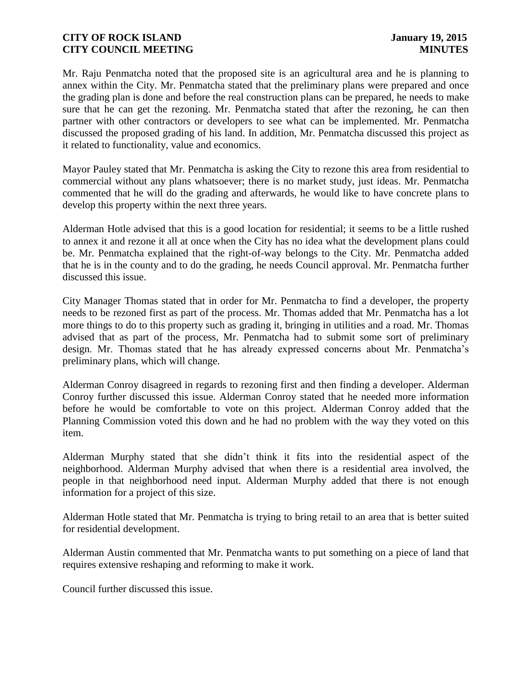Mr. Raju Penmatcha noted that the proposed site is an agricultural area and he is planning to annex within the City. Mr. Penmatcha stated that the preliminary plans were prepared and once the grading plan is done and before the real construction plans can be prepared, he needs to make sure that he can get the rezoning. Mr. Penmatcha stated that after the rezoning, he can then partner with other contractors or developers to see what can be implemented. Mr. Penmatcha discussed the proposed grading of his land. In addition, Mr. Penmatcha discussed this project as it related to functionality, value and economics.

Mayor Pauley stated that Mr. Penmatcha is asking the City to rezone this area from residential to commercial without any plans whatsoever; there is no market study, just ideas. Mr. Penmatcha commented that he will do the grading and afterwards, he would like to have concrete plans to develop this property within the next three years.

Alderman Hotle advised that this is a good location for residential; it seems to be a little rushed to annex it and rezone it all at once when the City has no idea what the development plans could be. Mr. Penmatcha explained that the right-of-way belongs to the City. Mr. Penmatcha added that he is in the county and to do the grading, he needs Council approval. Mr. Penmatcha further discussed this issue.

City Manager Thomas stated that in order for Mr. Penmatcha to find a developer, the property needs to be rezoned first as part of the process. Mr. Thomas added that Mr. Penmatcha has a lot more things to do to this property such as grading it, bringing in utilities and a road. Mr. Thomas advised that as part of the process, Mr. Penmatcha had to submit some sort of preliminary design. Mr. Thomas stated that he has already expressed concerns about Mr. Penmatcha's preliminary plans, which will change.

Alderman Conroy disagreed in regards to rezoning first and then finding a developer. Alderman Conroy further discussed this issue. Alderman Conroy stated that he needed more information before he would be comfortable to vote on this project. Alderman Conroy added that the Planning Commission voted this down and he had no problem with the way they voted on this item.

Alderman Murphy stated that she didn't think it fits into the residential aspect of the neighborhood. Alderman Murphy advised that when there is a residential area involved, the people in that neighborhood need input. Alderman Murphy added that there is not enough information for a project of this size.

Alderman Hotle stated that Mr. Penmatcha is trying to bring retail to an area that is better suited for residential development.

Alderman Austin commented that Mr. Penmatcha wants to put something on a piece of land that requires extensive reshaping and reforming to make it work.

Council further discussed this issue.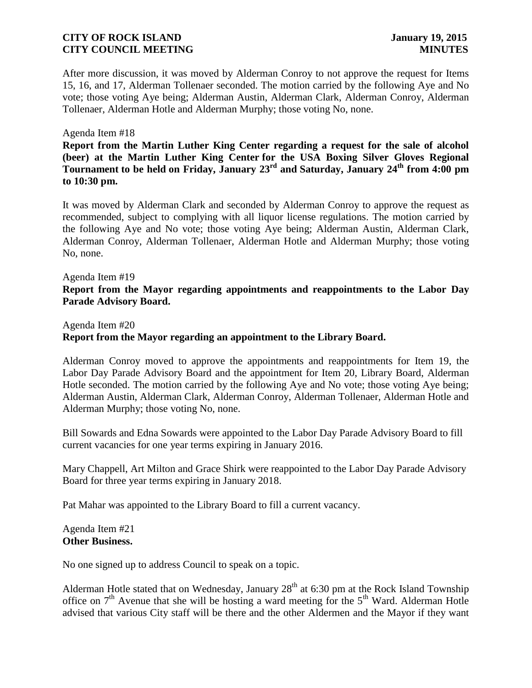After more discussion, it was moved by Alderman Conroy to not approve the request for Items 15, 16, and 17, Alderman Tollenaer seconded. The motion carried by the following Aye and No vote; those voting Aye being; Alderman Austin, Alderman Clark, Alderman Conroy, Alderman Tollenaer, Alderman Hotle and Alderman Murphy; those voting No, none.

### Agenda Item #18

**Report from the Martin Luther King Center regarding a request for the sale of alcohol (beer) at the Martin Luther King Center for the USA Boxing Silver Gloves Regional Tournament to be held on Friday, January 23rd and Saturday, January 24th from 4:00 pm to 10:30 pm.** 

It was moved by Alderman Clark and seconded by Alderman Conroy to approve the request as recommended, subject to complying with all liquor license regulations. The motion carried by the following Aye and No vote; those voting Aye being; Alderman Austin, Alderman Clark, Alderman Conroy, Alderman Tollenaer, Alderman Hotle and Alderman Murphy; those voting No, none.

# Agenda Item #19 **Report from the Mayor regarding appointments and reappointments to the Labor Day Parade Advisory Board.**

# Agenda Item #20 **Report from the Mayor regarding an appointment to the Library Board.**

Alderman Conroy moved to approve the appointments and reappointments for Item 19, the Labor Day Parade Advisory Board and the appointment for Item 20, Library Board, Alderman Hotle seconded. The motion carried by the following Aye and No vote; those voting Aye being; Alderman Austin, Alderman Clark, Alderman Conroy, Alderman Tollenaer, Alderman Hotle and Alderman Murphy; those voting No, none.

Bill Sowards and Edna Sowards were appointed to the Labor Day Parade Advisory Board to fill current vacancies for one year terms expiring in January 2016.

Mary Chappell, Art Milton and Grace Shirk were reappointed to the Labor Day Parade Advisory Board for three year terms expiring in January 2018.

Pat Mahar was appointed to the Library Board to fill a current vacancy.

Agenda Item #21 **Other Business.** 

No one signed up to address Council to speak on a topic.

Alderman Hotle stated that on Wednesday, January  $28<sup>th</sup>$  at 6:30 pm at the Rock Island Township office on  $7<sup>th</sup>$  Avenue that she will be hosting a ward meeting for the  $5<sup>th</sup>$  Ward. Alderman Hotle advised that various City staff will be there and the other Aldermen and the Mayor if they want